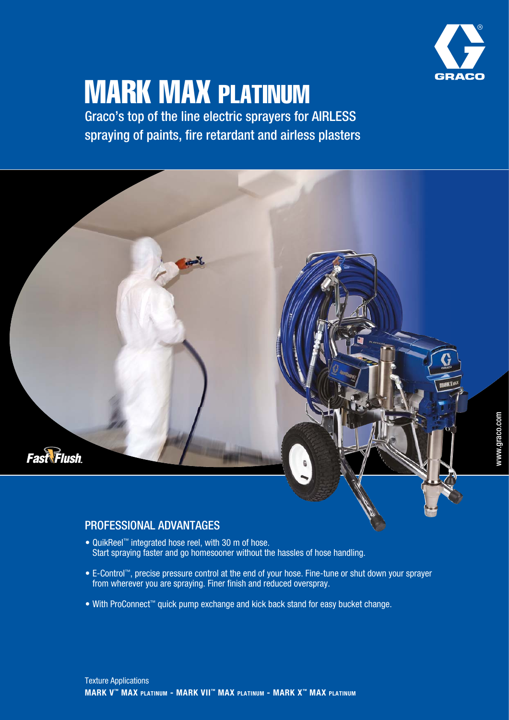

# MARK MAX PLATINUM

Graco's top of the line electric sprayers for AIRLESS spraying of paints, fire retardant and airless plasters

# **Fast Flush**

# PROFESSIONAL ADVANTAGES

- QuikReel™ integrated hose reel, with 30 m of hose. Start spraying faster and go homesooner without the hassles of hose handling.
- E-Control™, precise pressure control at the end of your hose. Fine-tune or shut down your sprayer from wherever you are spraying. Finer finish and reduced overspray.
- With ProConnect™ quick pump exchange and kick back stand for easy bucket change.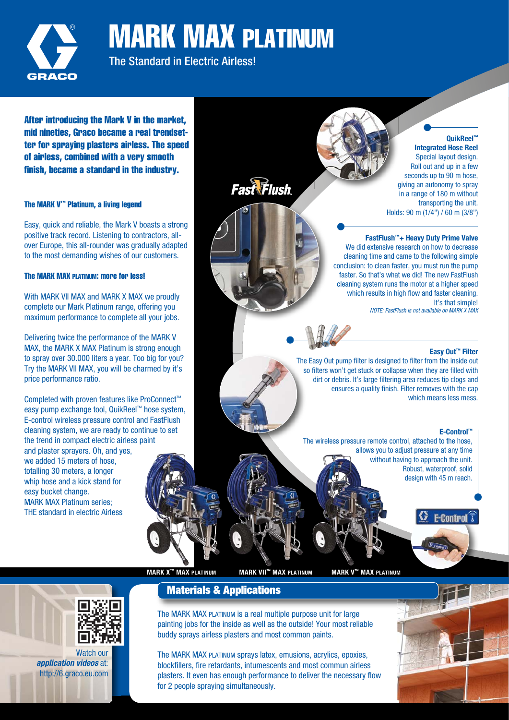

MARK MAX PLATINUM

The Standard in Electric Airless!

After introducing the Mark V in the market, mid nineties, Graco became a real trendsetter for spraying plasters airless. The speed of airless, combined with a very smooth finish, became a standard in the industry.

# The MARK V™ Platinum, a living legend

Easy, quick and reliable, the Mark V boasts a strong positive track record. Listening to contractors, allover Europe, this all-rounder was gradually adapted to the most demanding wishes of our customers.

# The MARK MAX PLATINUM: more for less!

With MARK VII MAX and MARK X MAX we proudly complete our Mark Platinum range, offering you maximum performance to complete all your jobs.

Delivering twice the performance of the MARK V MAX, the MARK X MAX Platinum is strong enough to spray over 30.000 liters a year. Too big for you? Try the MARK VII MAX, you will be charmed by it's price performance ratio.

Completed with proven features like ProConnect™ easy pump exchange tool, QuikReel™ hose system, E-control wireless pressure control and FastFlush cleaning system, we are ready to continue to set the trend in compact electric airless paint

and plaster sprayers. Oh, and yes, we added 15 meters of hose, totalling 30 meters, a longer whip hose and a kick stand for easy bucket change. MARK MAX Platinum series; THE standard in electric Airless

**Fast Flush** 

**QuikReel™ Integrated Hose Reel**  Special layout design. Roll out and up in a few seconds up to 90 m hose. giving an autonomy to spray in a range of 180 m without transporting the unit. Holds: 90 m (1/4") / 60 m (3/8")

# **FastFlush™+ Heavy Duty Prime Valve**

We did extensive research on how to decrease cleaning time and came to the following simple conclusion: to clean faster, you must run the pump faster. So that's what we did! The new FastFlush cleaning system runs the motor at a higher speed which results in high flow and faster cleaning. It's that simple! NOTE: FastFlush is not available on MARK X MAX

# **Easy Out™ Filter**

The Easy Out pump filter is designed to filter from the inside out so filters won't get stuck or collapse when they are filled with dirt or debris. It's large filtering area reduces tip clogs and ensures a quality finish. Filter removes with the cap which means less mess.

## **E-Control™**

**E-Control** 

The wireless pressure remote control, attached to the hose, allows you to adjust pressure at any time without having to approach the unit. Robust, waterproof, solid design with 45 m reach.

**MARK X™ MAX PLATINUM MARK VII™ MAX PLATINUM MARK V™ MAX PLATINUM**



Watch our *application videos* at: http://6.graco.eu.com **Materials & Applications**

The MARK MAX PLATINUM is a real multiple purpose unit for large painting jobs for the inside as well as the outside! Your most reliable buddy sprays airless plasters and most common paints.

The MARK MAX PLATINUM sprays latex, emusions, acrylics, epoxies, blockfillers, fire retardants, intumescents and most commun airless plasters. It even has enough performance to deliver the necessary flow for 2 people spraying simultaneously.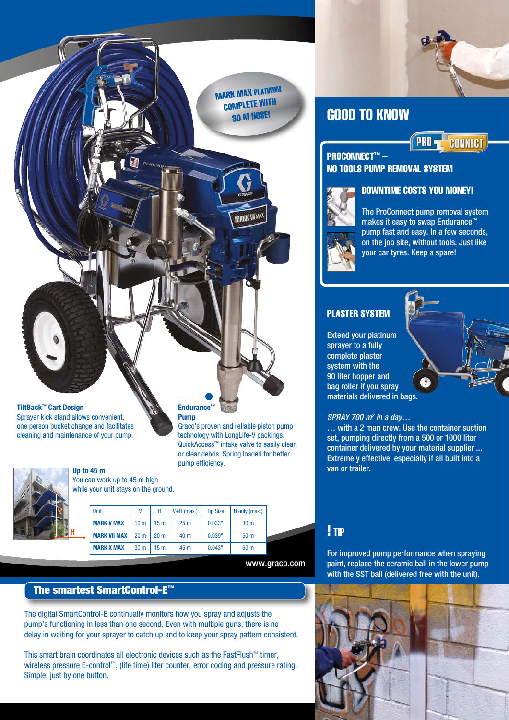

**MARK VII MAX** 

GOOD TO KNOW



# PROCONNECT™ -NO TOOLS PUMP REMOVAL SYSTEM



The ProConnect pump removal system makes it easy to swap Endurance" pump fast and easy. In a few seconds, on the job site, without tools. Just like your car tyres. Keep a spare!

DOWNTIME COSTS YOU MONEY!

# PLASTER SYSTEM

Extend your platinum sprayer to a fully complete plaster system with the 90 liter hopper and bag roller if you spray materials delivered in bags.

# $SPRAY$  700 m<sup>2</sup> in a day...

… with a 2 man crew. Use the container suction set, pumping directly from a 500 or 1000 liter container delivered by your material supplier ... Extremely effective, especially if all built into a van or trailer.

# ! TIP

For improved pump performance when spraying paint, replace the ceramic ball in the lower pump with the SST ball (delivered free with the unit).



The digital SmartControl-E continually monitors how you spray and adjusts the pump's functioning in less than one second. Even with multiple guns, there is no delay in waiting for your sprayer to catch up and to keep your spray pattern consistent.

This smart brain coordinates all electronic devices such as the FastFlush™ timer, wireless pressure E-control™, (life time) liter counter, error coding and pressure rating. Simple, just by one button.

**TiltBack™ Cart Design** Sprayer kick stand allows convenient,

one person bucket change and facilitates cleaning and maintenance of your pump.



# **Up to 45 m** You can work up to 45 m high

while your unit stays on the ground.

|    | Unit                | ۷               | Н               | $V+H$ (max.)    | <b>Tip Size</b> | H only (max.)   |
|----|---------------------|-----------------|-----------------|-----------------|-----------------|-----------------|
|    | <b>MARK V MAX</b>   | 10 <sub>m</sub> | 15 m            | 25 <sub>m</sub> | 0.033"          | 30 <sub>m</sub> |
| -0 | <b>MARK VII MAX</b> | 20 <sub>m</sub> | 20 <sub>m</sub> | 40 m            | 0.039"          | 50 <sub>m</sub> |
|    | <b>MARK X MAX</b>   | 30 <sub>m</sub> | 15 m            | 45 m            | 0.043"          | 60 <sub>m</sub> |

**Endurance™ Pump**

pump efficiency.

Graco's proven and reliable piston pump technology with LongLife-V packings. QuickAccess**™** intake valve to easily clean or clear debris. Spring loaded for better

www.graco.com